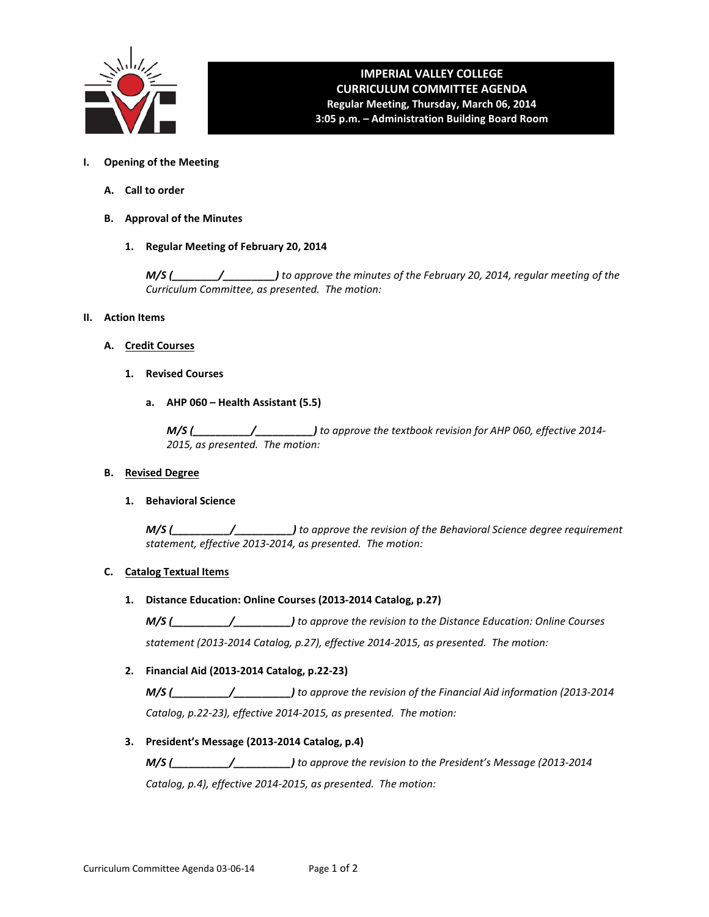

# **IMPERIAL VALLEY COLLEGE CURRICULUM COMMITTEE AGENDA Regular Meeting, Thursday, March 06, 2014 3:05 p.m. – Administration Building Board Room**

- **I. Opening of the Meeting**
	- **A. Call to order**
	- **B. Approval of the Minutes**
		- **1. Regular Meeting of February 20, 2014**

*M/S (\_\_\_\_\_\_\_\_/\_\_\_\_\_\_\_\_\_) to approve the minutes of the February 20, 2014, regular meeting of the Curriculum Committee, as presented. The motion:*

- **II. Action Items**
	- **A. Credit Courses**
		- **1. Revised Courses**
			- **a. AHP 060 Health Assistant (5.5)**

*M/S (\_\_\_\_\_\_\_\_\_\_/\_\_\_\_\_\_\_\_\_\_) to approve the textbook revision for AHP 060, effective 2014- 2015, as presented. The motion:*

#### **B. Revised Degree**

**1. Behavioral Science**

*M/S (\_\_\_\_\_\_\_\_\_\_/\_\_\_\_\_\_\_\_\_\_) to approve the revision of the Behavioral Science degree requirement statement, effective 2013-2014, as presented. The motion:*

# **C. Catalog Textual Items**

**1. Distance Education: Online Courses (2013-2014 Catalog, p.27)**

*M/S (\_\_\_\_\_\_\_\_\_\_/\_\_\_\_\_\_\_\_\_\_) to approve the revision to the Distance Education: Online Courses statement (2013-2014 Catalog, p.27), effective 2014-2015, as presented. The motion:*

**2. Financial Aid (2013-2014 Catalog, p.22-23)**

*M/S (\_\_\_\_\_\_\_\_\_\_/\_\_\_\_\_\_\_\_\_\_) to approve the revision of the Financial Aid information (2013-2014 Catalog, p.22-23), effective 2014-2015, as presented. The motion:*

**3. President's Message (2013-2014 Catalog, p.4)**

*M/S (\_\_\_\_\_\_\_\_\_\_/\_\_\_\_\_\_\_\_\_\_) to approve the revision to the President's Message (2013-2014*

*Catalog, p.4), effective 2014-2015, as presented. The motion:*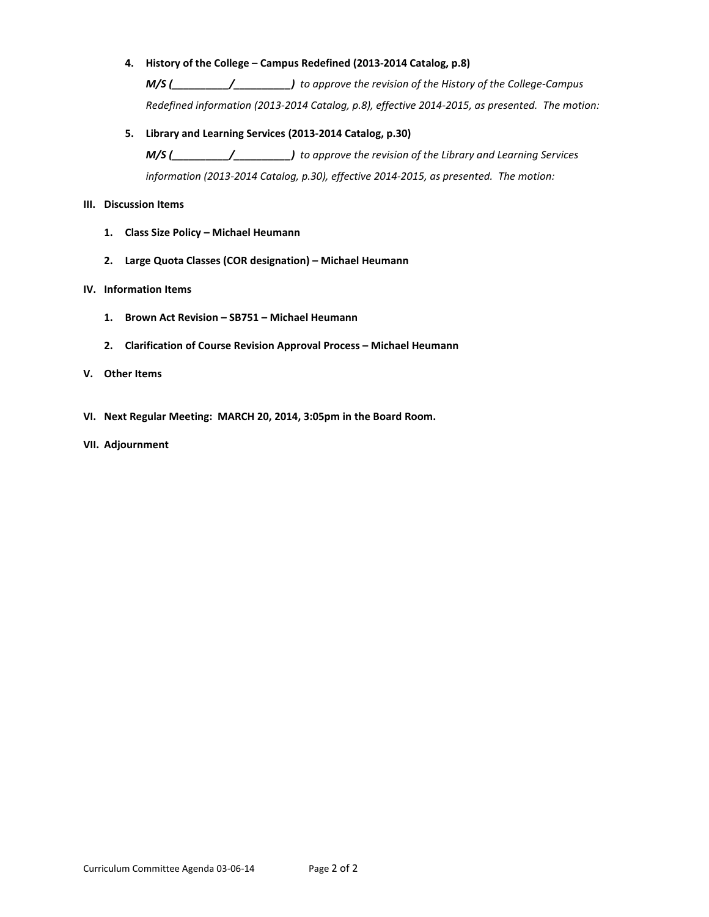# **4. History of the College – Campus Redefined (2013-2014 Catalog, p.8)**

*M/S (\_\_\_\_\_\_\_\_\_\_/\_\_\_\_\_\_\_\_\_\_) to approve the revision of the History of the College-Campus Redefined information (2013-2014 Catalog, p.8), effective 2014-2015, as presented. The motion:*

# **5. Library and Learning Services (2013-2014 Catalog, p.30)**

*M/S (\_\_\_\_\_\_\_\_\_\_/\_\_\_\_\_\_\_\_\_\_) to approve the revision of the Library and Learning Services information (2013-2014 Catalog, p.30), effective 2014-2015, as presented. The motion:*

# **III. Discussion Items**

- **1. Class Size Policy Michael Heumann**
- **2. Large Quota Classes (COR designation) Michael Heumann**

# **IV. Information Items**

- **1. Brown Act Revision SB751 Michael Heumann**
- **2. Clarification of Course Revision Approval Process Michael Heumann**

# **V. Other Items**

- **VI. Next Regular Meeting: MARCH 20, 2014, 3:05pm in the Board Room.**
- **VII. Adjournment**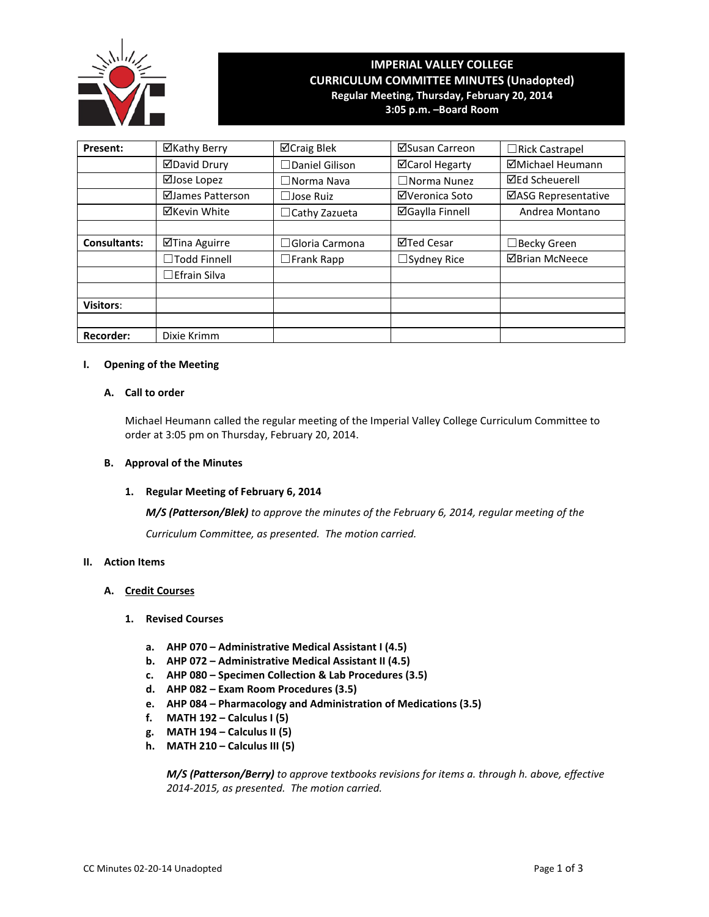

# **IMPERIAL VALLEY COLLEGE CURRICULUM COMMITTEE MINUTES (Unadopted) Regular Meeting, Thursday, February 20, 2014 3:05 p.m. –Board Room**

| Present:            | ⊠Kathy Berry        | ⊠Craig Blek           | ⊠Susan Carreon         | $\Box$ Rick Castrapel      |
|---------------------|---------------------|-----------------------|------------------------|----------------------------|
|                     | <b>ØDavid Drury</b> | $\Box$ Daniel Gilison | ⊠Carol Hegarty         | ⊠Michael Heumann           |
|                     | ⊠Jose Lopez         | $\Box$ Norma Nava     | $\Box$ Norma Nunez     | <b>⊠Ed Scheuerell</b>      |
|                     | ⊠James Patterson    | $\Box$ Jose Ruiz      | ⊠Veronica Soto         | <b>⊠ASG Representative</b> |
|                     | ⊠Kevin White        | $\Box$ Cathy Zazueta  | <b>⊠Gaylla Finnell</b> | Andrea Montano             |
|                     |                     |                       |                        |                            |
| <b>Consultants:</b> | ⊠Tina Aguirre       | $\Box$ Gloria Carmona | ⊠Ted Cesar             | $\Box$ Becky Green         |
|                     | □Todd Finnell       | $\square$ Frank Rapp  | $\Box$ Sydney Rice     | <b>ØBrian McNeece</b>      |
|                     | $\Box$ Efrain Silva |                       |                        |                            |
|                     |                     |                       |                        |                            |
| <b>Visitors:</b>    |                     |                       |                        |                            |
|                     |                     |                       |                        |                            |
| <b>Recorder:</b>    | Dixie Krimm         |                       |                        |                            |

# **I. Opening of the Meeting**

# **A. Call to order**

Michael Heumann called the regular meeting of the Imperial Valley College Curriculum Committee to order at 3:05 pm on Thursday, February 20, 2014.

#### **B. Approval of the Minutes**

#### **1. Regular Meeting of February 6, 2014**

*M/S (Patterson/Blek) to approve the minutes of the February 6, 2014, regular meeting of the*

*Curriculum Committee, as presented. The motion carried.*

#### **II. Action Items**

#### **A. Credit Courses**

# **1. Revised Courses**

- **a. AHP 070 Administrative Medical Assistant I (4.5)**
- **b. AHP 072 Administrative Medical Assistant II (4.5)**
- **c. AHP 080 Specimen Collection & Lab Procedures (3.5)**
- **d. AHP 082 Exam Room Procedures (3.5)**
- **e. AHP 084 Pharmacology and Administration of Medications (3.5)**
- **f. MATH 192 Calculus I (5)**
- **g. MATH 194 Calculus II (5)**
- **h. MATH 210 Calculus III (5)**

*M/S (Patterson/Berry) to approve textbooks revisions for items a. through h. above, effective 2014-2015, as presented. The motion carried.*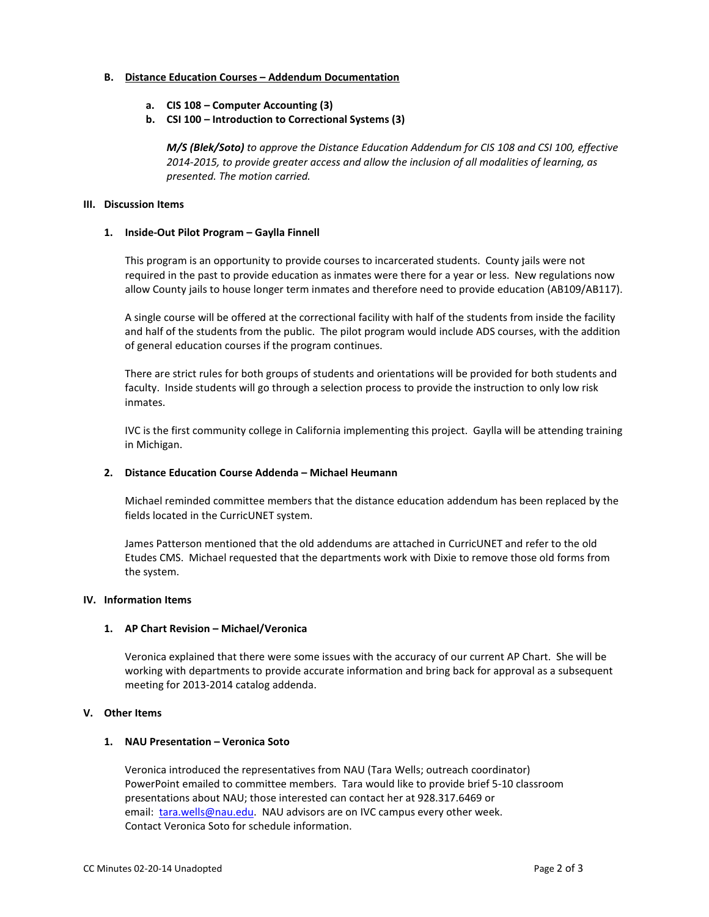## **B. Distance Education Courses – Addendum Documentation**

- **a. CIS 108 Computer Accounting (3)**
- **b. CSI 100 Introduction to Correctional Systems (3)**

*M/S (Blek/Soto) to approve the Distance Education Addendum for CIS 108 and CSI 100, effective 2014-2015, to provide greater access and allow the inclusion of all modalities of learning, as presented. The motion carried.*

# **III. Discussion Items**

# **1. Inside-Out Pilot Program – Gaylla Finnell**

This program is an opportunity to provide courses to incarcerated students. County jails were not required in the past to provide education as inmates were there for a year or less. New regulations now allow County jails to house longer term inmates and therefore need to provide education (AB109/AB117).

A single course will be offered at the correctional facility with half of the students from inside the facility and half of the students from the public. The pilot program would include ADS courses, with the addition of general education courses if the program continues.

There are strict rules for both groups of students and orientations will be provided for both students and faculty. Inside students will go through a selection process to provide the instruction to only low risk inmates.

IVC is the first community college in California implementing this project. Gaylla will be attending training in Michigan.

# **2. Distance Education Course Addenda – Michael Heumann**

Michael reminded committee members that the distance education addendum has been replaced by the fields located in the CurricUNET system.

James Patterson mentioned that the old addendums are attached in CurricUNET and refer to the old Etudes CMS. Michael requested that the departments work with Dixie to remove those old forms from the system.

# **IV. Information Items**

# **1. AP Chart Revision – Michael/Veronica**

Veronica explained that there were some issues with the accuracy of our current AP Chart. She will be working with departments to provide accurate information and bring back for approval as a subsequent meeting for 2013-2014 catalog addenda.

# **V. Other Items**

# **1. NAU Presentation – Veronica Soto**

Veronica introduced the representatives from NAU (Tara Wells; outreach coordinator) PowerPoint emailed to committee members. Tara would like to provide brief 5-10 classroom presentations about NAU; those interested can contact her at 928.317.6469 or email: [tara.wells@nau.edu.](mailto:tara.wells@nau.edu) NAU advisors are on IVC campus every other week. Contact Veronica Soto for schedule information.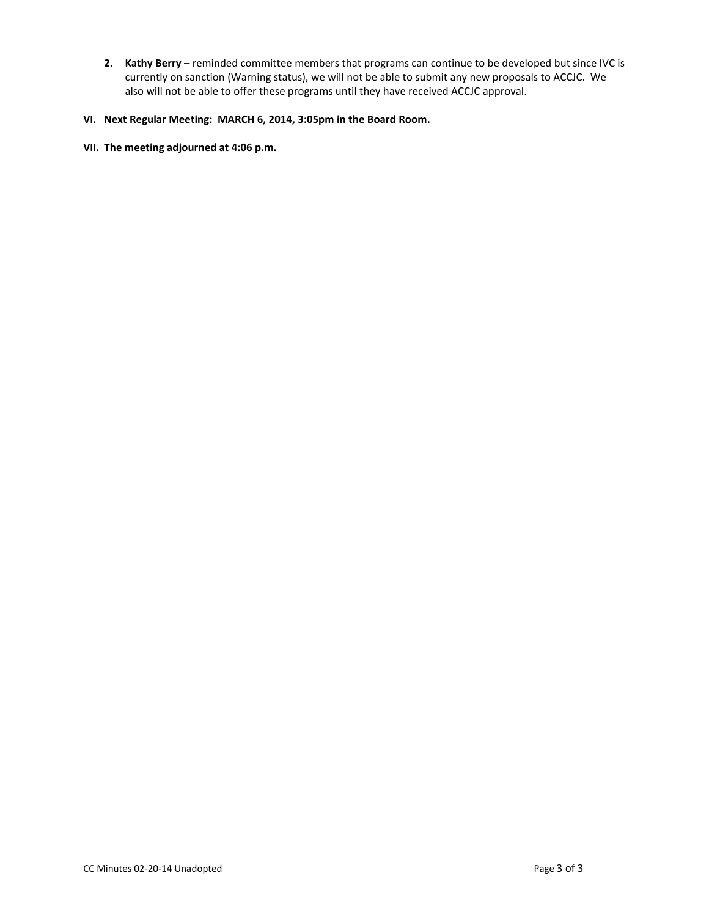**2. Kathy Berry** – reminded committee members that programs can continue to be developed but since IVC is currently on sanction (Warning status), we will not be able to submit any new proposals to ACCJC. We also will not be able to offer these programs until they have received ACCJC approval.

# **VI. Next Regular Meeting: MARCH 6, 2014, 3:05pm in the Board Room.**

# **VII. The meeting adjourned at 4:06 p.m.**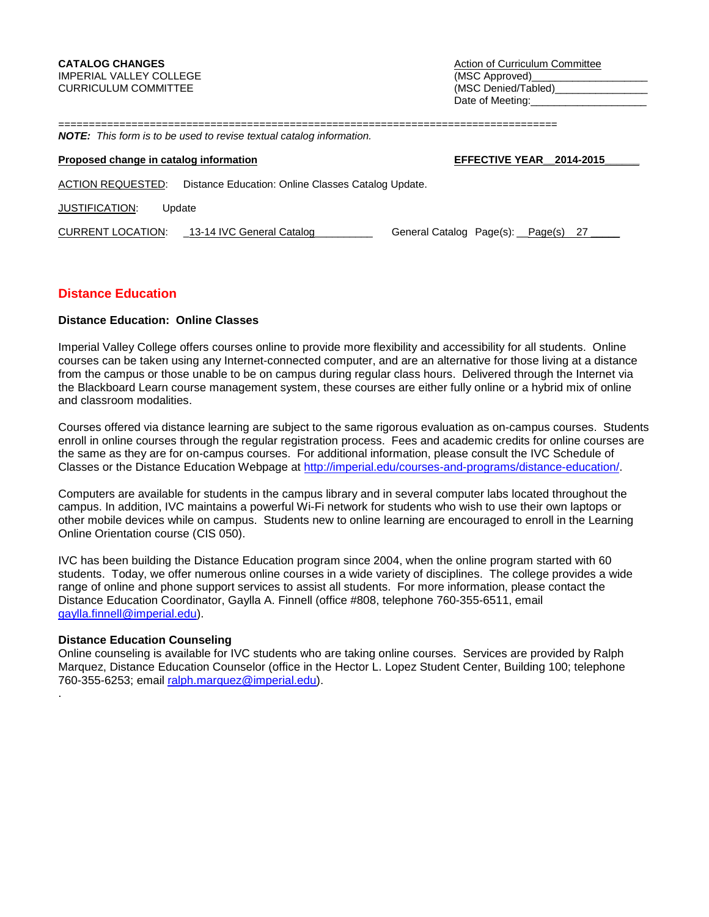==================================================================================

# *NOTE: This form is to be used to revise textual catalog information.*

# **Proposed change in catalog information EFFECTIVE YEAR** 2014-2015

ACTION REQUESTED: Distance Education: Online Classes Catalog Update.

JUSTIFICATION: Update

| <b>CURRENT LOCATION:</b> | 13-14 IVC General Catalog | General Catalog Page(s): Page(s) 27 |
|--------------------------|---------------------------|-------------------------------------|
|--------------------------|---------------------------|-------------------------------------|

# **Distance Education**

# **Distance Education: Online Classes**

Imperial Valley College offers courses online to provide more flexibility and accessibility for all students. Online courses can be taken using any Internet-connected computer, and are an alternative for those living at a distance from the campus or those unable to be on campus during regular class hours. Delivered through the Internet via the Blackboard Learn course management system, these courses are either fully online or a hybrid mix of online and classroom modalities.

Courses offered via distance learning are subject to the same rigorous evaluation as on-campus courses. Students enroll in online courses through the regular registration process. Fees and academic credits for online courses are the same as they are for on-campus courses. For additional information, please consult the IVC Schedule of Classes or the Distance Education Webpage at [http://imperial.edu/courses-and-programs/distance-education/.](http://imperial.edu/courses-and-programs/distance-education/)

Computers are available for students in the campus library and in several computer labs located throughout the campus. In addition, IVC maintains a powerful Wi-Fi network for students who wish to use their own laptops or other mobile devices while on campus. Students new to online learning are encouraged to enroll in the Learning Online Orientation course (CIS 050).

IVC has been building the Distance Education program since 2004, when the online program started with 60 students. Today, we offer numerous online courses in a wide variety of disciplines. The college provides a wide range of online and phone support services to assist all students. For more information, please contact the Distance Education Coordinator, Gaylla A. Finnell (office #808, telephone 760-355-6511, email gaylla.finnell@imperial.edu).

## **Distance Education Counseling**

.

Online counseling is available for IVC students who are taking online courses. Services are provided by Ralph Marquez, Distance Education Counselor (office in the Hector L. Lopez Student Center, Building 100; telephone 760-355-6253; email [ralph.marquez@imperial.edu\)](mailto:ralph.marquez@imperial.edu).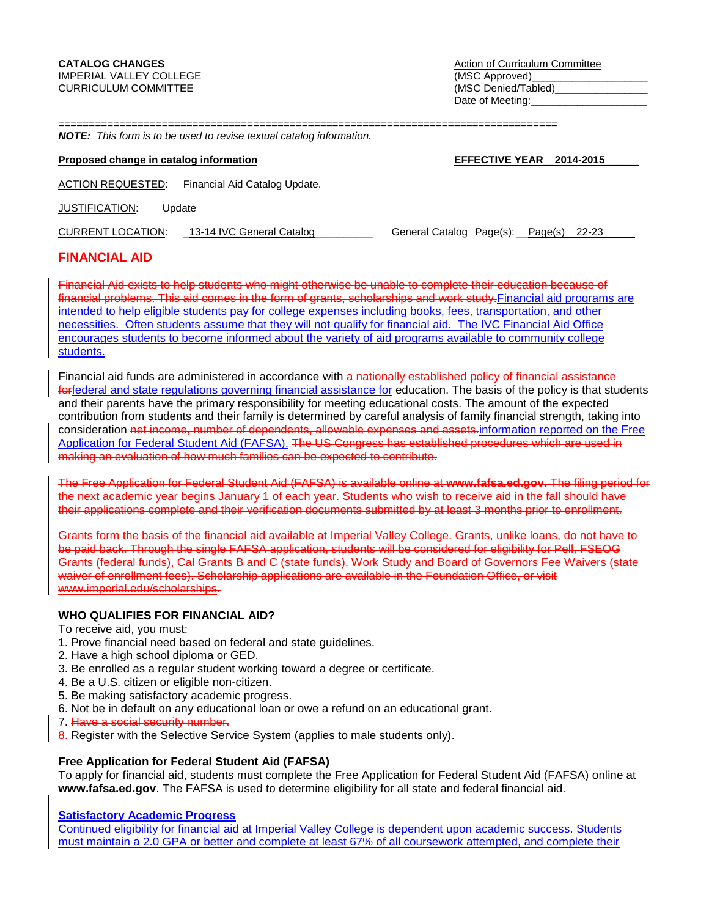================================================================================== *NOTE: This form is to be used to revise textual catalog information.* 

# **Proposed change in catalog information <b>EFFECTIVE YEAR** 2014-2015

ACTION REQUESTED: Financial Aid Catalog Update.

JUSTIFICATION: Update

| <b>CURRENT LOCATION:</b> | 13-14 IVC General Catalog | General Catalog Page(s): Page(s) 22-23 |  |  |
|--------------------------|---------------------------|----------------------------------------|--|--|
|                          |                           |                                        |  |  |

# **FINANCIAL AID**

Financial Aid exists to help students who might otherwise be unable to complete their education because of financial problems. This aid comes in the form of grants, scholarships and work study. Financial aid programs are intended to help eligible students pay for college expenses including books, fees, transportation, and other necessities. Often students assume that they will not qualify for financial aid. The IVC Financial Aid Office encourages students to become informed about the variety of aid programs available to community college students.

Financial aid funds are administered in accordance with a nationally established policy of financial assistance forfederal and state regulations governing financial assistance for education. The basis of the policy is that students and their parents have the primary responsibility for meeting educational costs. The amount of the expected contribution from students and their family is determined by careful analysis of family financial strength, taking into consideration net income, number of dependents, allowable expenses and assets.information reported on the Free Application for Federal Student Aid (FAFSA). The US Congress has established procedures which are used in making an evaluation of how much families can be expected to contribute.

The Free Application for Federal Student Aid (FAFSA) is available online at **www.fafsa.ed.gov**. The filing period for the next academic year begins January 1 of each year. Students who wish to receive aid in the fall should have their applications complete and their verification documents submitted by at least 3 months prior to enrollment.

Grants form the basis of the financial aid available at Imperial Valley College. Grants, unlike loans, do not have to be paid back. Through the single FAFSA application, students will be considered for eligibility for Pell, FSEOG Grants (federal funds), Cal Grants B and C (state funds), Work Study and Board of Governors Fee Waivers (state waiver of enrollment fees). Scholarship applications are available in the Foundation Office, or visit www.imperial.edu/scholarships.

# **WHO QUALIFIES FOR FINANCIAL AID?**

To receive aid, you must:

- 1. Prove financial need based on federal and state guidelines.
- 2. Have a high school diploma or GED.
- 3. Be enrolled as a regular student working toward a degree or certificate.
- 4. Be a U.S. citizen or eligible non-citizen.
- 5. Be making satisfactory academic progress.
- 6. Not be in default on any educational loan or owe a refund on an educational grant.
- 7. Have a social security number.
- 8. Register with the Selective Service System (applies to male students only).

# **Free Application for Federal Student Aid (FAFSA)**

To apply for financial aid, students must complete the Free Application for Federal Student Aid (FAFSA) online at **www.fafsa.ed.gov**. The FAFSA is used to determine eligibility for all state and federal financial aid.

**Satisfactory Academic Progress**

Continued eligibility for financial aid at Imperial Valley College is dependent upon academic success. Students must maintain a 2.0 GPA or better and complete at least 67% of all coursework attempted, and complete their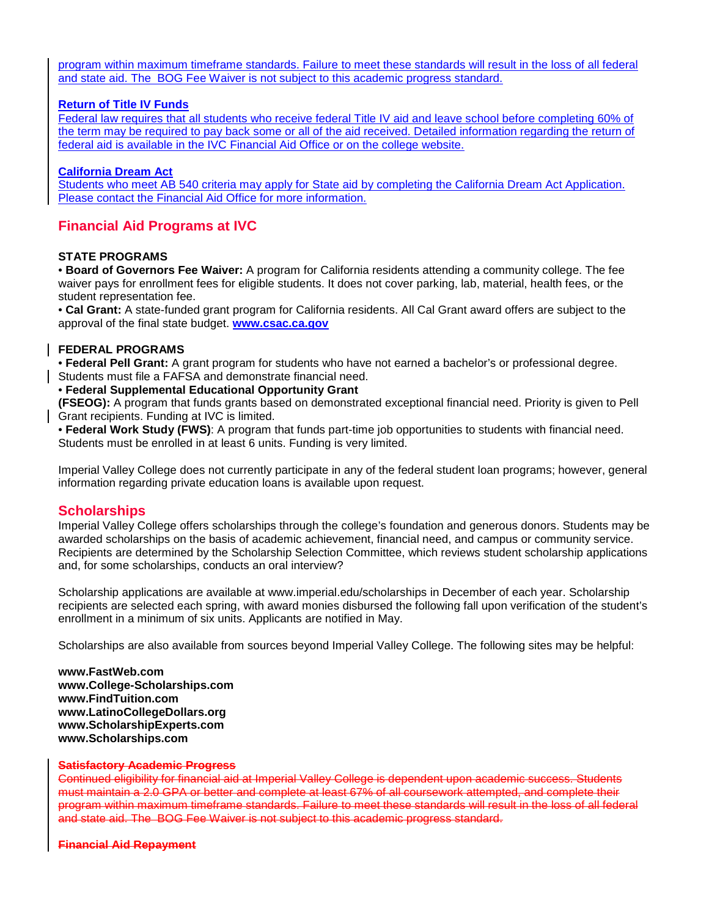program within maximum timeframe standards. Failure to meet these standards will result in the loss of all federal and state aid. The BOG Fee Waiver is not subject to this academic progress standard.

# **Return of Title IV Funds**

Federal law requires that all students who receive federal Title IV aid and leave school before completing 60% of the term may be required to pay back some or all of the aid received. Detailed information regarding the return of federal aid is available in the IVC Financial Aid Office or on the college website.

# **California Dream Act**

Students who meet AB 540 criteria may apply for State aid by completing the California Dream Act Application. Please contact the Financial Aid Office for more information.

# **Financial Aid Programs at IVC**

# **STATE PROGRAMS**

• **Board of Governors Fee Waiver:** A program for California residents attending a community college. The fee waiver pays for enrollment fees for eligible students. It does not cover parking, lab, material, health fees, or the student representation fee.

• **Cal Grant:** A state-funded grant program for California residents. All Cal Grant award offers are subject to the approval of the final state budget. **[www.csac.ca.gov](http://www.csac.ca.gov/)**

# **FEDERAL PROGRAMS**

• **Federal Pell Grant:** A grant program for students who have not earned a bachelor's or professional degree. Students must file a FAFSA and demonstrate financial need.

• **Federal Supplemental Educational Opportunity Grant**

**(FSEOG):** A program that funds grants based on demonstrated exceptional financial need. Priority is given to Pell Grant recipients. Funding at IVC is limited.

• **Federal Work Study (FWS)**: A program that funds part-time job opportunities to students with financial need. Students must be enrolled in at least 6 units. Funding is very limited.

Imperial Valley College does not currently participate in any of the federal student loan programs; however, general information regarding private education loans is available upon request.

# **Scholarships**

Imperial Valley College offers scholarships through the college's foundation and generous donors. Students may be awarded scholarships on the basis of academic achievement, financial need, and campus or community service. Recipients are determined by the Scholarship Selection Committee, which reviews student scholarship applications and, for some scholarships, conducts an oral interview?

Scholarship applications are available at www.imperial.edu/scholarships in December of each year. Scholarship recipients are selected each spring, with award monies disbursed the following fall upon verification of the student's enrollment in a minimum of six units. Applicants are notified in May.

Scholarships are also available from sources beyond Imperial Valley College. The following sites may be helpful:

**www.FastWeb.com www.College-Scholarships.com www.FindTuition.com www.LatinoCollegeDollars.org www.ScholarshipExperts.com www.Scholarships.com**

#### **Satisfactory Academic Progress**

Continued eligibility for financial aid at Imperial Valley College is dependent upon academic success. Students must maintain a 2.0 GPA or better and complete at least 67% of all coursework attempted, and complete their program within maximum timeframe standards. Failure to meet these standards will result in the loss of all federal and state aid. The BOG Fee Waiver is not subject to this academic progress standard.

#### **Financial Aid Repayment**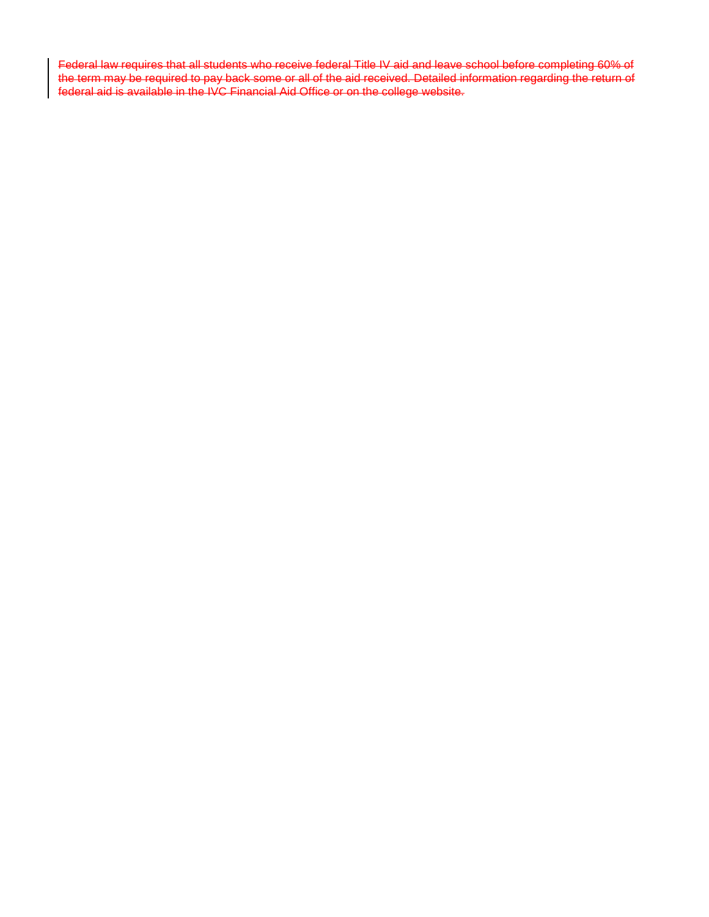Federal law requires that all students who receive federal Title IV aid and leave school before completing 60% of the term may be required to pay back some or all of the aid received. Detailed information regarding the return of federal aid is available in the IVC Financial Aid Office or on the college website.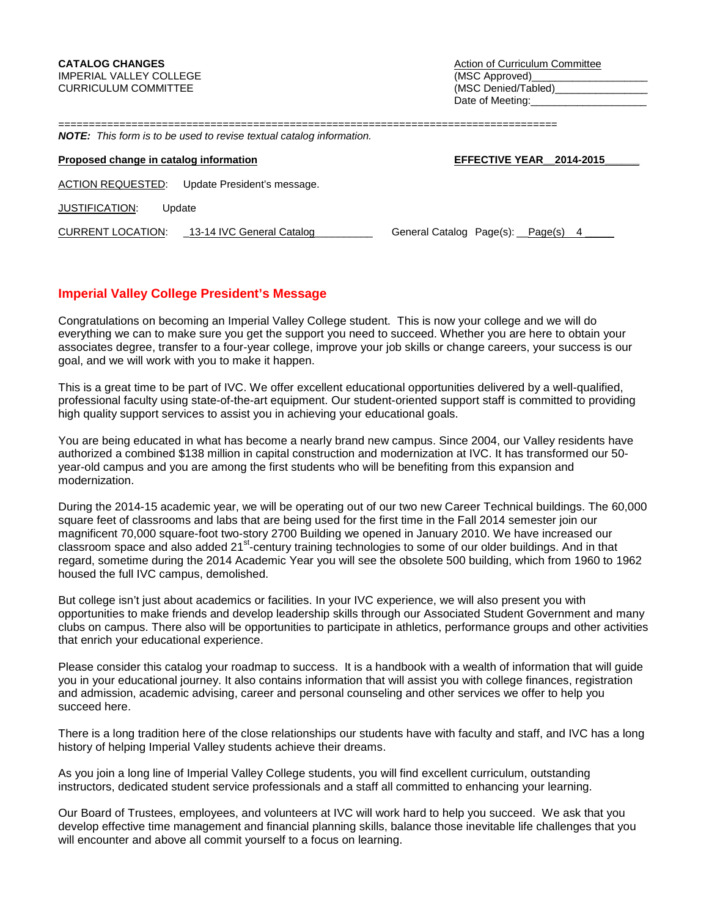| <b>NOTE:</b> | This form is to be used to revise textual catalog information. |  |
|--------------|----------------------------------------------------------------|--|

| Proposed change in catalog information         | EFFECTIVE YEAR 2014-2015           |
|------------------------------------------------|------------------------------------|
| ACTION REQUESTED: Update President's message.  |                                    |
| JUSTIFICATION:<br>Update                       |                                    |
| CURRENT LOCATION:<br>13-14 IVC General Catalog | General Catalog Page(s): Page(s) 4 |

# **Imperial Valley College President's Message**

Congratulations on becoming an Imperial Valley College student. This is now your college and we will do everything we can to make sure you get the support you need to succeed. Whether you are here to obtain your associates degree, transfer to a four-year college, improve your job skills or change careers, your success is our goal, and we will work with you to make it happen.

This is a great time to be part of IVC. We offer excellent educational opportunities delivered by a well-qualified, professional faculty using state-of-the-art equipment. Our student-oriented support staff is committed to providing high quality support services to assist you in achieving your educational goals.

You are being educated in what has become a nearly brand new campus. Since 2004, our Valley residents have authorized a combined \$138 million in capital construction and modernization at IVC. It has transformed our 50 year-old campus and you are among the first students who will be benefiting from this expansion and modernization.

During the 2014-15 academic year, we will be operating out of our two new Career Technical buildings. The 60,000 square feet of classrooms and labs that are being used for the first time in the Fall 2014 semester join our magnificent 70,000 square-foot two-story 2700 Building we opened in January 2010. We have increased our classroom space and also added 21<sup>st</sup>-century training technologies to some of our older buildings. And in that regard, sometime during the 2014 Academic Year you will see the obsolete 500 building, which from 1960 to 1962 housed the full IVC campus, demolished.

But college isn't just about academics or facilities. In your IVC experience, we will also present you with opportunities to make friends and develop leadership skills through our Associated Student Government and many clubs on campus. There also will be opportunities to participate in athletics, performance groups and other activities that enrich your educational experience.

Please consider this catalog your roadmap to success. It is a handbook with a wealth of information that will guide you in your educational journey. It also contains information that will assist you with college finances, registration and admission, academic advising, career and personal counseling and other services we offer to help you succeed here.

There is a long tradition here of the close relationships our students have with faculty and staff, and IVC has a long history of helping Imperial Valley students achieve their dreams.

As you join a long line of Imperial Valley College students, you will find excellent curriculum, outstanding instructors, dedicated student service professionals and a staff all committed to enhancing your learning.

Our Board of Trustees, employees, and volunteers at IVC will work hard to help you succeed. We ask that you develop effective time management and financial planning skills, balance those inevitable life challenges that you will encounter and above all commit yourself to a focus on learning.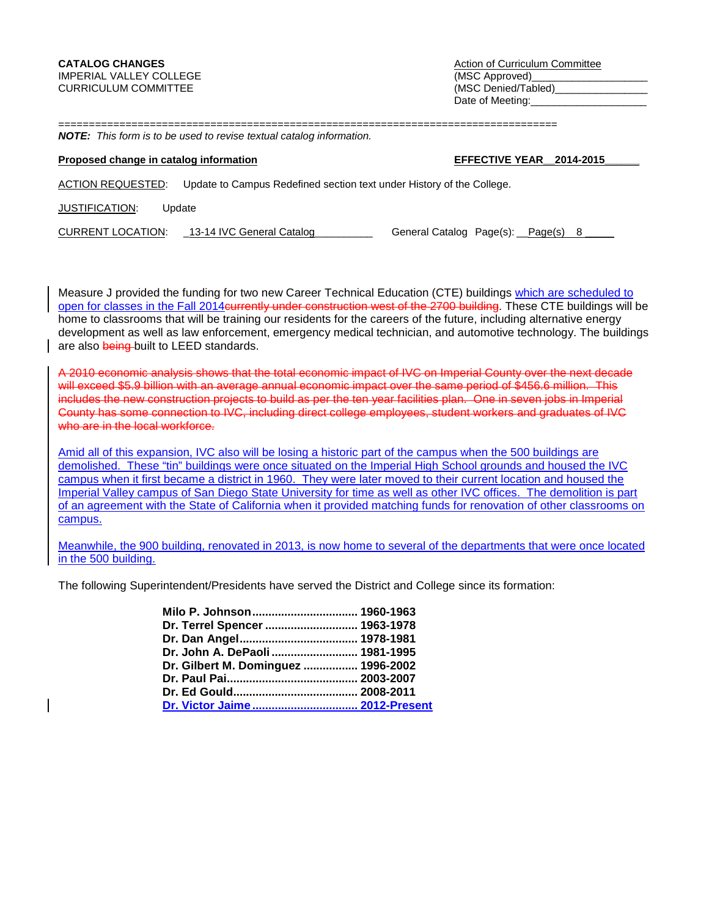==================================================================================

|  |  |  |  |  |  |  | <b>NOTE:</b> This form is to be used to revise textual catalog information. |
|--|--|--|--|--|--|--|-----------------------------------------------------------------------------|
|--|--|--|--|--|--|--|-----------------------------------------------------------------------------|

# **Proposed change in catalog information EFFECTIVE YEAR** 2014-2015 ACTION REQUESTED: Update to Campus Redefined section text under History of the College.

JUSTIFICATION: Update

| <b>CURRENT LOCATION:</b> | 13-14 IVC General Catalog | General Catalog Page(s): Page(s) 8 |
|--------------------------|---------------------------|------------------------------------|
|--------------------------|---------------------------|------------------------------------|

Measure J provided the funding for two new Career Technical Education (CTE) buildings which are scheduled to open for classes in the Fall 2014currently under construction west of the 2700 building. These CTE buildings will be home to classrooms that will be training our residents for the careers of the future, including alternative energy development as well as law enforcement, emergency medical technician, and automotive technology. The buildings are also being built to LEED standards.

A 2010 economic analysis shows that the total economic impact of IVC on Imperial County over the next decade will exceed \$5.9 billion with an average annual economic impact over the same period of \$456.6 million. This includes the new construction projects to build as per the ten year facilities plan. One in seven jobs in Imperial County has some connection to IVC, including direct college employees, student workers and graduates of IVC who are in the local workforce.

Amid all of this expansion, IVC also will be losing a historic part of the campus when the 500 buildings are demolished. These "tin" buildings were once situated on the Imperial High School grounds and housed the IVC campus when it first became a district in 1960. They were later moved to their current location and housed the Imperial Valley campus of San Diego State University for time as well as other IVC offices. The demolition is part of an agreement with the State of California when it provided matching funds for renovation of other classrooms on campus.

Meanwhile, the 900 building, renovated in 2013, is now home to several of the departments that were once located in the 500 building.

The following Superintendent/Presidents have served the District and College since its formation:

| Milo P. Johnson 1960-1963           |
|-------------------------------------|
| Dr. Terrel Spencer  1963-1978       |
|                                     |
| Dr. John A. DePaoli  1981-1995      |
| Dr. Gilbert M. Dominguez  1996-2002 |
|                                     |
|                                     |
| Dr. Victor Jaime 2012-Present       |
|                                     |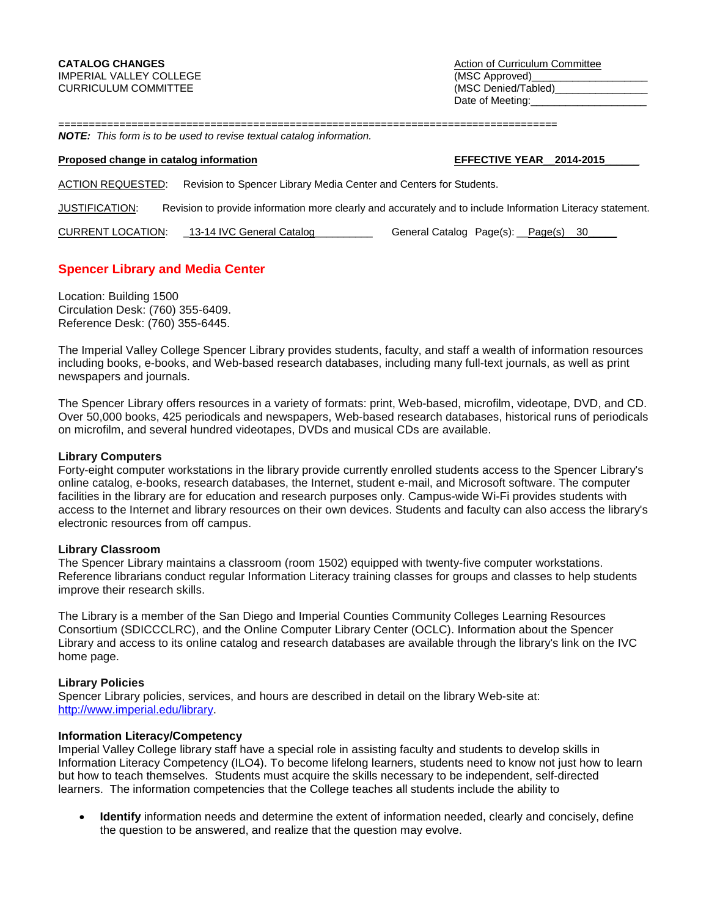Date of Meeting:

==================================================================================

# *NOTE: This form is to be used to revise textual catalog information.*

## **Proposed change in catalog information <b>EFFECTIVE YEAR** 2014-2015

ACTION REQUESTED: Revision to Spencer Library Media Center and Centers for Students.

JUSTIFICATION: Revision to provide information more clearly and accurately and to include Information Literacy statement.

CURRENT LOCATION: \_13-14 IVC General Catalog\_\_\_\_\_\_\_\_\_\_ General Catalog Page(s): \_\_Page(s) 30\_\_\_\_\_

# **Spencer Library and Media Center**

Location: Building 1500 Circulation Desk: (760) 355-6409. Reference Desk: (760) 355-6445.

The Imperial Valley College Spencer Library provides students, faculty, and staff a wealth of information resources including books, e-books, and Web-based research databases, including many full-text journals, as well as print newspapers and journals.

The Spencer Library offers resources in a variety of formats: print, Web-based, microfilm, videotape, DVD, and CD. Over 50,000 books, 425 periodicals and newspapers, Web-based research databases, historical runs of periodicals on microfilm, and several hundred videotapes, DVDs and musical CDs are available.

#### **Library Computers**

Forty-eight computer workstations in the library provide currently enrolled students access to the Spencer Library's online catalog, e-books, research databases, the Internet, student e-mail, and Microsoft software. The computer facilities in the library are for education and research purposes only. Campus-wide Wi-Fi provides students with access to the Internet and library resources on their own devices. Students and faculty can also access the library's electronic resources from off campus.

#### **Library Classroom**

The Spencer Library maintains a classroom (room 1502) equipped with twenty-five computer workstations. Reference librarians conduct regular Information Literacy training classes for groups and classes to help students improve their research skills.

The Library is a member of the San Diego and Imperial Counties Community Colleges Learning Resources Consortium (SDICCCLRC), and the Online Computer Library Center (OCLC). Information about the Spencer Library and access to its online catalog and research databases are available through the library's link on the IVC home page.

#### **Library Policies**

Spencer Library policies, services, and hours are described in detail on the library Web-site at: [http://www.imperial.edu/library.](http://www.imperial.edu/library)

# **Information Literacy/Competency**

Imperial Valley College library staff have a special role in assisting faculty and students to develop skills in Information Literacy Competency (ILO4). To become lifelong learners, students need to know not just how to learn but how to teach themselves. Students must acquire the skills necessary to be independent, self-directed learners. The information competencies that the College teaches all students include the ability to

• **Identify** information needs and determine the extent of information needed, clearly and concisely, define the question to be answered, and realize that the question may evolve.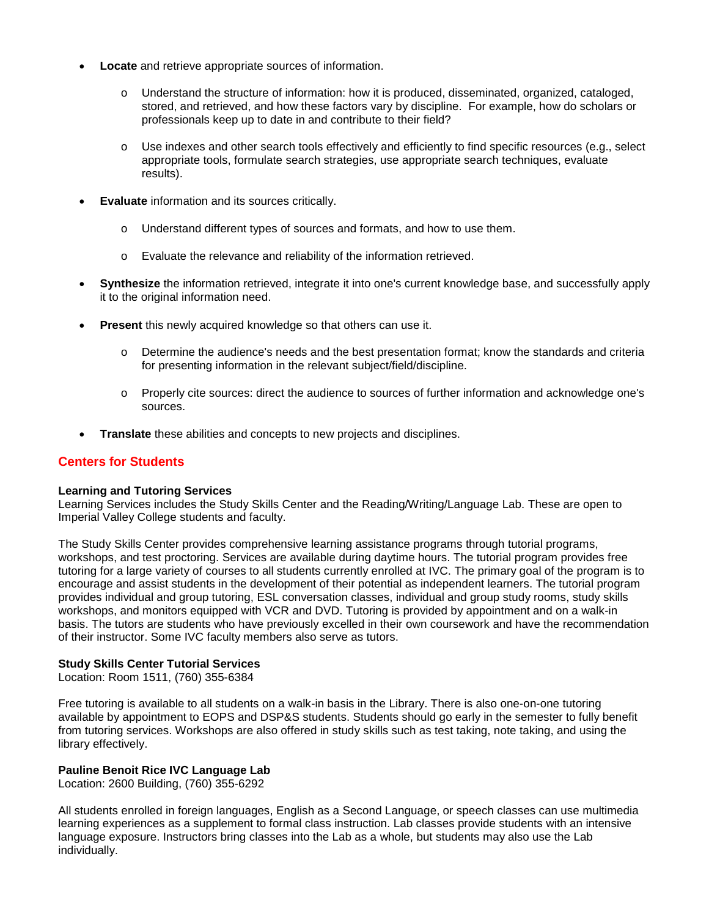- **Locate** and retrieve appropriate sources of information.
	- o Understand the structure of information: how it is produced, disseminated, organized, cataloged, stored, and retrieved, and how these factors vary by discipline. For example, how do scholars or professionals keep up to date in and contribute to their field?
	- $\circ$  Use indexes and other search tools effectively and efficiently to find specific resources (e.g., select appropriate tools, formulate search strategies, use appropriate search techniques, evaluate results).
- **Evaluate** information and its sources critically.
	- o Understand different types of sources and formats, and how to use them.
	- o Evaluate the relevance and reliability of the information retrieved.
- **Synthesize** the information retrieved, integrate it into one's current knowledge base, and successfully apply it to the original information need.
- **Present** this newly acquired knowledge so that others can use it.
	- o Determine the audience's needs and the best presentation format; know the standards and criteria for presenting information in the relevant subject/field/discipline.
	- o Properly cite sources: direct the audience to sources of further information and acknowledge one's sources.
- **Translate** these abilities and concepts to new projects and disciplines.

# **Centers for Students**

# **Learning and Tutoring Services**

Learning Services includes the Study Skills Center and the Reading/Writing/Language Lab. These are open to Imperial Valley College students and faculty.

The Study Skills Center provides comprehensive learning assistance programs through tutorial programs, workshops, and test proctoring. Services are available during daytime hours. The tutorial program provides free tutoring for a large variety of courses to all students currently enrolled at IVC. The primary goal of the program is to encourage and assist students in the development of their potential as independent learners. The tutorial program provides individual and group tutoring, ESL conversation classes, individual and group study rooms, study skills workshops, and monitors equipped with VCR and DVD. Tutoring is provided by appointment and on a walk-in basis. The tutors are students who have previously excelled in their own coursework and have the recommendation of their instructor. Some IVC faculty members also serve as tutors.

# **Study Skills Center Tutorial Services**

Location: Room 1511, (760) 355-6384

Free tutoring is available to all students on a walk-in basis in the Library. There is also one-on-one tutoring available by appointment to EOPS and DSP&S students. Students should go early in the semester to fully benefit from tutoring services. Workshops are also offered in study skills such as test taking, note taking, and using the library effectively.

# **Pauline Benoit Rice IVC Language Lab**

Location: 2600 Building, (760) 355-6292

All students enrolled in foreign languages, English as a Second Language, or speech classes can use multimedia learning experiences as a supplement to formal class instruction. Lab classes provide students with an intensive language exposure. Instructors bring classes into the Lab as a whole, but students may also use the Lab individually.